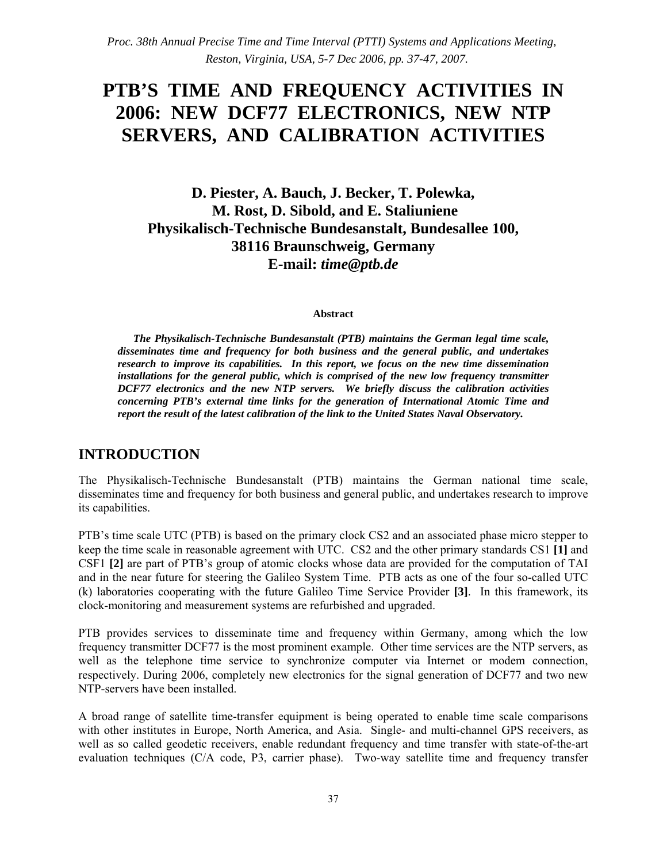*Proc. 38th Annual Precise Time and Time Interval (PTTI) Systems and Applications Meeting, Reston, Virginia, USA, 5-7 Dec 2006, pp. 37-47, 2007.*

# **PTB'S TIME AND FREQUENCY ACTIVITIES IN 2006: NEW DCF77 ELECTRONICS, NEW NTP SERVERS, AND CALIBRATION ACTIVITIES**

**D. Piester, A. Bauch, J. Becker, T. Polewka, M. Rost, D. Sibold, and E. Staliuniene Physikalisch-Technische Bundesanstalt, Bundesallee 100, 38116 Braunschweig, Germany E-mail:** *time@ptb.de*

#### **Abstract**

*The Physikalisch-Technische Bundesanstalt (PTB) maintains the German legal time scale, disseminates time and frequency for both business and the general public, and undertakes research to improve its capabilities. In this report, we focus on the new time dissemination installations for the general public, which is comprised of the new low frequency transmitter DCF77 electronics and the new NTP servers. We briefly discuss the calibration activities concerning PTB's external time links for the generation of International Atomic Time and report the result of the latest calibration of the link to the United States Naval Observatory.*

### **INTRODUCTION**

The Physikalisch-Technische Bundesanstalt (PTB) maintains the German national time scale, disseminates time and frequency for both business and general public, and undertakes research to improve its capabilities.

PTB's time scale UTC (PTB) is based on the primary clock CS2 and an associated phase micro stepper to keep the time scale in reasonable agreement with UTC. CS2 and the other primary standards CS1 **[1]** and CSF1 **[2]** are part of PTB's group of atomic clocks whose data are provided for the computation of TAI and in the near future for steering the Galileo System Time. PTB acts as one of the four so-called UTC (k) laboratories cooperating with the future Galileo Time Service Provider **[3]**. In this framework, its clock-monitoring and measurement systems are refurbished and upgraded.

PTB provides services to disseminate time and frequency within Germany, among which the low frequency transmitter DCF77 is the most prominent example. Other time services are the NTP servers, as well as the telephone time service to synchronize computer via Internet or modem connection, respectively. During 2006, completely new electronics for the signal generation of DCF77 and two new NTP-servers have been installed.

A broad range of satellite time-transfer equipment is being operated to enable time scale comparisons with other institutes in Europe, North America, and Asia. Single- and multi-channel GPS receivers, as well as so called geodetic receivers, enable redundant frequency and time transfer with state-of-the-art evaluation techniques (C/A code, P3, carrier phase). Two-way satellite time and frequency transfer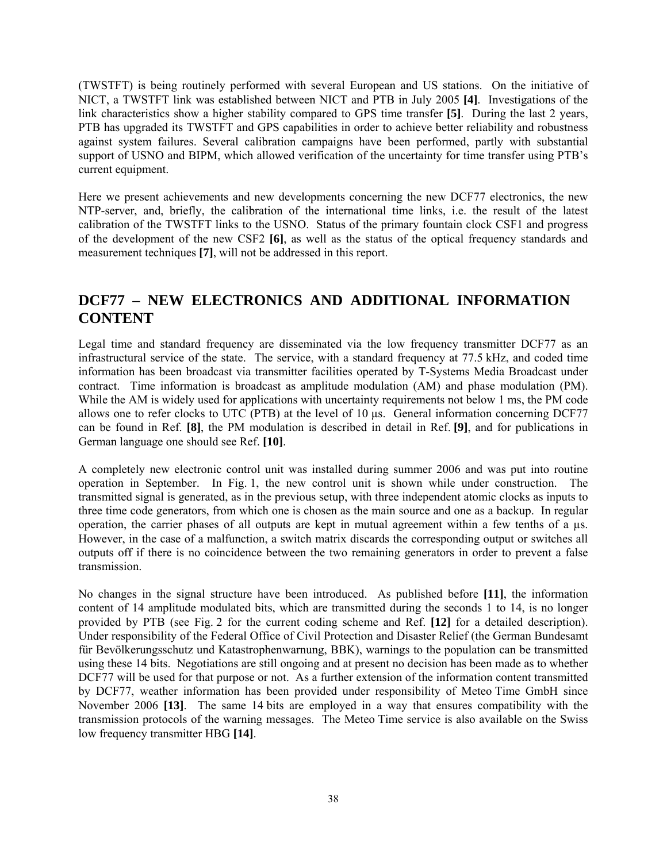(TWSTFT) is being routinely performed with several European and US stations. On the initiative of NICT, a TWSTFT link was established between NICT and PTB in July 2005 **[4]**. Investigations of the link characteristics show a higher stability compared to GPS time transfer **[5]**. During the last 2 years, PTB has upgraded its TWSTFT and GPS capabilities in order to achieve better reliability and robustness against system failures. Several calibration campaigns have been performed, partly with substantial support of USNO and BIPM, which allowed verification of the uncertainty for time transfer using PTB's current equipment.

Here we present achievements and new developments concerning the new DCF77 electronics, the new NTP-server, and, briefly, the calibration of the international time links, i.e. the result of the latest calibration of the TWSTFT links to the USNO. Status of the primary fountain clock CSF1 and progress of the development of the new CSF2 **[6]**, as well as the status of the optical frequency standards and measurement techniques **[7]**, will not be addressed in this report.

## **DCF77 – NEW ELECTRONICS AND ADDITIONAL INFORMATION CONTENT**

Legal time and standard frequency are disseminated via the low frequency transmitter DCF77 as an infrastructural service of the state. The service, with a standard frequency at 77.5 kHz, and coded time information has been broadcast via transmitter facilities operated by T-Systems Media Broadcast under contract. Time information is broadcast as amplitude modulation (AM) and phase modulation (PM). While the AM is widely used for applications with uncertainty requirements not below 1 ms, the PM code allows one to refer clocks to UTC (PTB) at the level of 10 µs. General information concerning DCF77 can be found in Ref. **[8]**, the PM modulation is described in detail in Ref. **[9]**, and for publications in German language one should see Ref. **[10]**.

A completely new electronic control unit was installed during summer 2006 and was put into routine operation in September. In Fig. 1, the new control unit is shown while under construction. The transmitted signal is generated, as in the previous setup, with three independent atomic clocks as inputs to three time code generators, from which one is chosen as the main source and one as a backup. In regular operation, the carrier phases of all outputs are kept in mutual agreement within a few tenths of a µs. However, in the case of a malfunction, a switch matrix discards the corresponding output or switches all outputs off if there is no coincidence between the two remaining generators in order to prevent a false transmission.

No changes in the signal structure have been introduced. As published before **[11]**, the information content of 14 amplitude modulated bits, which are transmitted during the seconds 1 to 14, is no longer provided by PTB (see Fig. 2 for the current coding scheme and Ref. **[12]** for a detailed description). Under responsibility of the Federal Office of Civil Protection and Disaster Relief (the German Bundesamt für Bevölkerungsschutz und Katastrophenwarnung, BBK), warnings to the population can be transmitted using these 14 bits. Negotiations are still ongoing and at present no decision has been made as to whether DCF77 will be used for that purpose or not. As a further extension of the information content transmitted by DCF77, weather information has been provided under responsibility of Meteo Time GmbH since November 2006 **[13]**. The same 14 bits are employed in a way that ensures compatibility with the transmission protocols of the warning messages. The Meteo Time service is also available on the Swiss low frequency transmitter HBG **[14]**.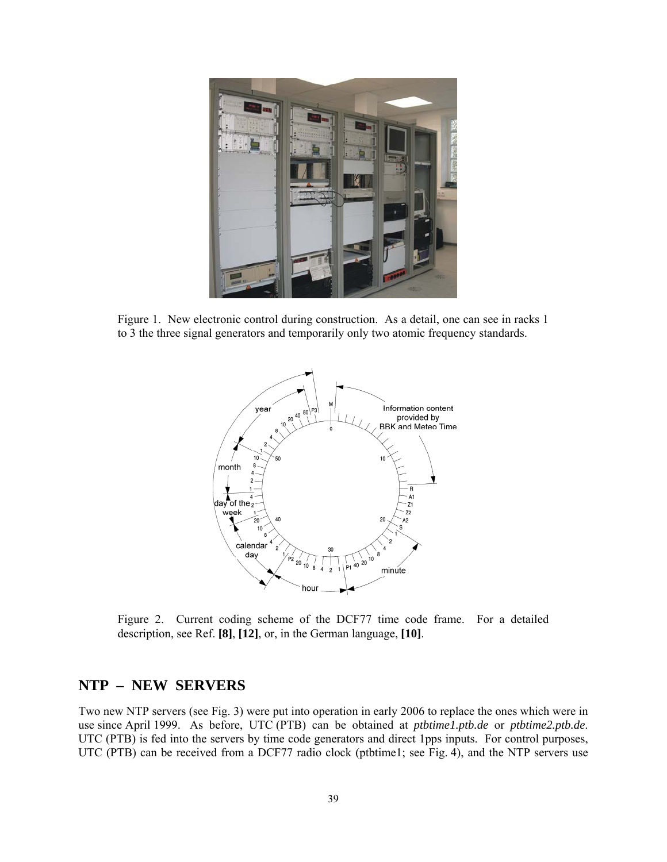

Figure 1. New electronic control during construction. As a detail, one can see in racks 1 to 3 the three signal generators and temporarily only two atomic frequency standards.



Figure 2. Current coding scheme of the DCF77 time code frame. For a detailed description, see Ref. **[8]**, **[12]**, or, in the German language, **[10]**.

#### **NTP – NEW SERVERS**

Two new NTP servers (see Fig. 3) were put into operation in early 2006 to replace the ones which were in use since April 1999. As before, UTC (PTB) can be obtained at *ptbtime1.ptb.de* or *ptbtime2.ptb.de*. UTC (PTB) is fed into the servers by time code generators and direct 1pps inputs. For control purposes, UTC (PTB) can be received from a DCF77 radio clock (ptbtime1; see Fig. 4), and the NTP servers use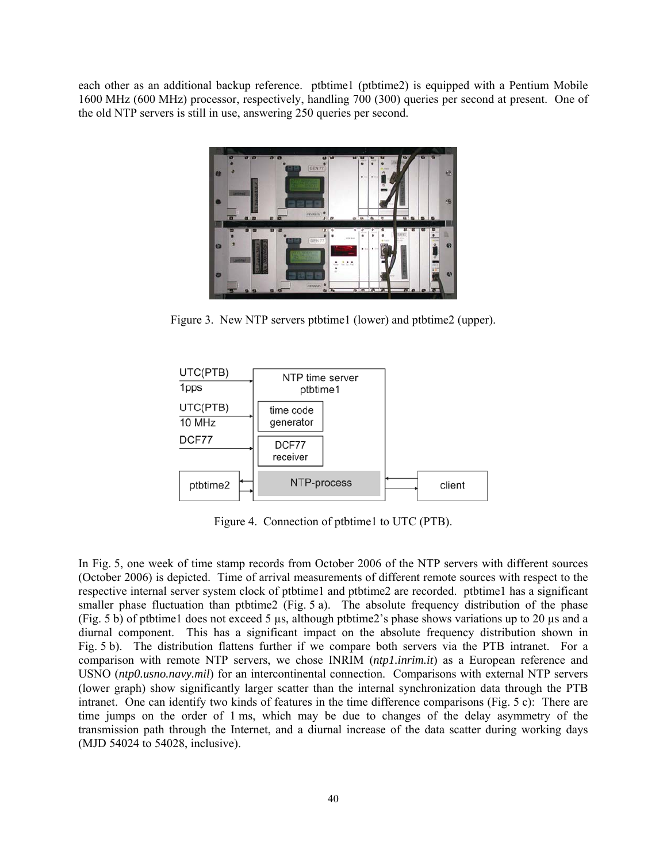each other as an additional backup reference. ptbtime1 (ptbtime2) is equipped with a Pentium Mobile 1600 MHz (600 MHz) processor, respectively, handling 700 (300) queries per second at present. One of the old NTP servers is still in use, answering 250 queries per second.



Figure 3. New NTP servers ptbtime1 (lower) and ptbtime2 (upper).



Figure 4. Connection of ptbtime1 to UTC (PTB).

In Fig. 5, one week of time stamp records from October 2006 of the NTP servers with different sources (October 2006) is depicted. Time of arrival measurements of different remote sources with respect to the respective internal server system clock of ptbtime1 and ptbtime2 are recorded. ptbtime1 has a significant smaller phase fluctuation than ptbtime2 (Fig. 5 a). The absolute frequency distribution of the phase (Fig. 5 b) of ptbtime1 does not exceed 5  $\mu$ s, although ptbtime2's phase shows variations up to 20  $\mu$ s and a diurnal component. This has a significant impact on the absolute frequency distribution shown in Fig. 5 b). The distribution flattens further if we compare both servers via the PTB intranet. For a comparison with remote NTP servers, we chose INRIM (*ntp1.inrim.it*) as a European reference and USNO (*ntp0.usno.navy.mil*) for an intercontinental connection. Comparisons with external NTP servers (lower graph) show significantly larger scatter than the internal synchronization data through the PTB intranet. One can identify two kinds of features in the time difference comparisons (Fig. 5 c): There are time jumps on the order of 1 ms, which may be due to changes of the delay asymmetry of the transmission path through the Internet, and a diurnal increase of the data scatter during working days (MJD 54024 to 54028, inclusive).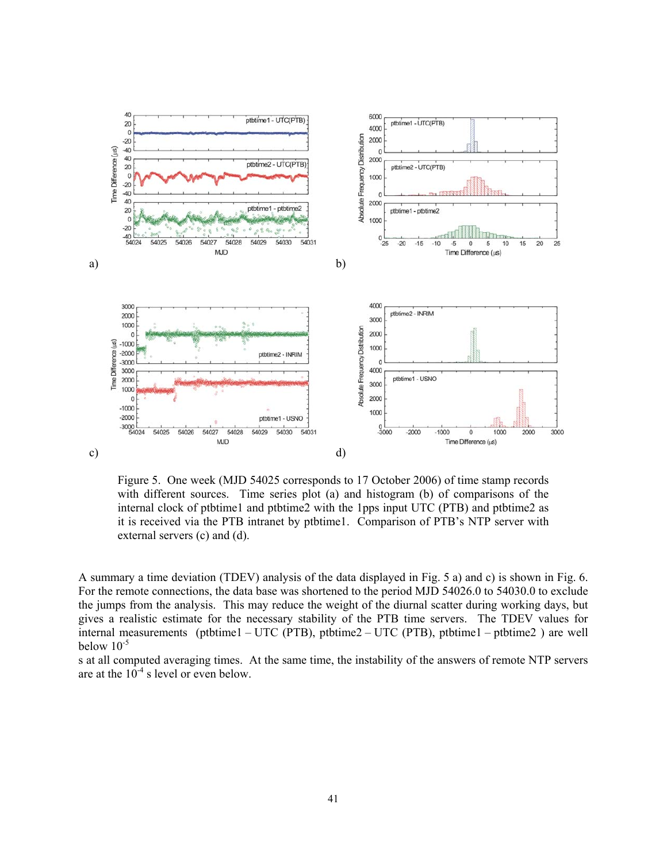

Figure 5. One week (MJD 54025 corresponds to 17 October 2006) of time stamp records with different sources. Time series plot (a) and histogram (b) of comparisons of the internal clock of ptbtime1 and ptbtime2 with the 1pps input UTC (PTB) and ptbtime2 as it is received via the PTB intranet by ptbtime1. Comparison of PTB's NTP server with external servers (c) and (d).

A summary a time deviation (TDEV) analysis of the data displayed in Fig. 5 a) and c) is shown in Fig. 6. For the remote connections, the data base was shortened to the period MJD 54026.0 to 54030.0 to exclude the jumps from the analysis. This may reduce the weight of the diurnal scatter during working days, but gives a realistic estimate for the necessary stability of the PTB time servers. The TDEV values for internal measurements (ptbtime1 – UTC (PTB), ptbtime2 – UTC (PTB), ptbtime1 – ptbtime2 ) are well below  $10^{-5}$ 

s at all computed averaging times. At the same time, the instability of the answers of remote NTP servers are at the  $10^{-4}$  s level or even below.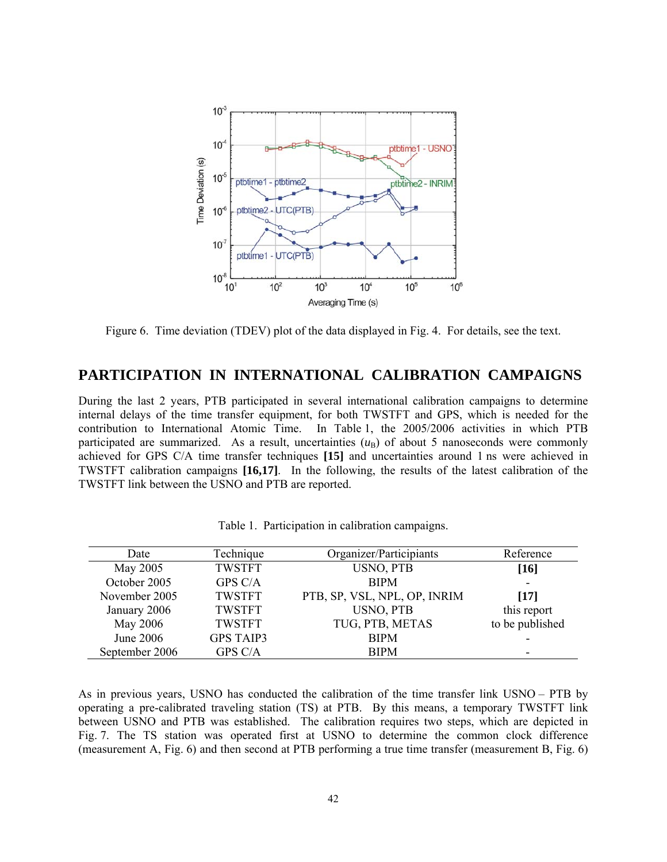

Figure 6. Time deviation (TDEV) plot of the data displayed in Fig. 4. For details, see the text.

#### **PARTICIPATION IN INTERNATIONAL CALIBRATION CAMPAIGNS**

During the last 2 years, PTB participated in several international calibration campaigns to determine internal delays of the time transfer equipment, for both TWSTFT and GPS, which is needed for the contribution to International Atomic Time. In Table 1, the 2005/2006 activities in which PTB participated are summarized. As a result, uncertainties  $(u<sub>B</sub>)$  of about 5 nanoseconds were commonly achieved for GPS C/A time transfer techniques **[15]** and uncertainties around 1 ns were achieved in TWSTFT calibration campaigns **[16,17]**. In the following, the results of the latest calibration of the TWSTFT link between the USNO and PTB are reported.

| Date           | Technique        | Organizer/Participiants      | Reference       |  |
|----------------|------------------|------------------------------|-----------------|--|
| May 2005       | <b>TWSTFT</b>    | USNO, PTB                    | [16]            |  |
| October 2005   | GPS C/A          | <b>BIPM</b>                  |                 |  |
| November 2005  | <b>TWSTFT</b>    | PTB, SP, VSL, NPL, OP, INRIM | [17]            |  |
| January 2006   | <b>TWSTFT</b>    | <b>USNO, PTB</b>             | this report     |  |
| May 2006       | <b>TWSTFT</b>    | TUG, PTB, METAS              | to be published |  |
| June 2006      | <b>GPS TAIP3</b> | <b>BIPM</b>                  |                 |  |
| September 2006 | GPS C/A          | <b>BIPM</b>                  |                 |  |

Table 1. Participation in calibration campaigns.

As in previous years, USNO has conducted the calibration of the time transfer link USNO – PTB by operating a pre-calibrated traveling station (TS) at PTB. By this means, a temporary TWSTFT link between USNO and PTB was established. The calibration requires two steps, which are depicted in Fig. 7. The TS station was operated first at USNO to determine the common clock difference (measurement A, Fig. 6) and then second at PTB performing a true time transfer (measurement B, Fig. 6)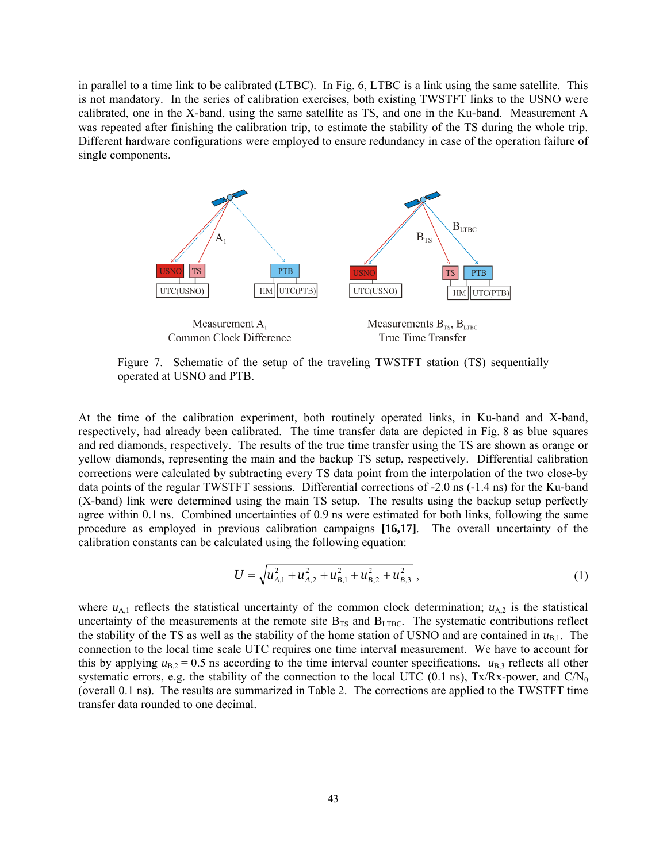in parallel to a time link to be calibrated (LTBC). In Fig. 6, LTBC is a link using the same satellite. This is not mandatory. In the series of calibration exercises, both existing TWSTFT links to the USNO were calibrated, one in the X-band, using the same satellite as TS, and one in the Ku-band. Measurement A was repeated after finishing the calibration trip, to estimate the stability of the TS during the whole trip. Different hardware configurations were employed to ensure redundancy in case of the operation failure of single components.



Figure 7. Schematic of the setup of the traveling TWSTFT station (TS) sequentially operated at USNO and PTB.

At the time of the calibration experiment, both routinely operated links, in Ku-band and X-band, respectively, had already been calibrated. The time transfer data are depicted in Fig. 8 as blue squares and red diamonds, respectively. The results of the true time transfer using the TS are shown as orange or yellow diamonds, representing the main and the backup TS setup, respectively. Differential calibration corrections were calculated by subtracting every TS data point from the interpolation of the two close-by data points of the regular TWSTFT sessions. Differential corrections of -2.0 ns (-1.4 ns) for the Ku-band (X-band) link were determined using the main TS setup. The results using the backup setup perfectly agree within 0.1 ns. Combined uncertainties of 0.9 ns were estimated for both links, following the same procedure as employed in previous calibration campaigns **[16,17]**. The overall uncertainty of the calibration constants can be calculated using the following equation:

$$
U = \sqrt{u_{A,1}^2 + u_{A,2}^2 + u_{B,1}^2 + u_{B,2}^2 + u_{B,3}^2} \,,\tag{1}
$$

where  $u_{A,1}$  reflects the statistical uncertainty of the common clock determination;  $u_{A,2}$  is the statistical uncertainty of the measurements at the remote site  $B_{TS}$  and  $B_{LTBC}$ . The systematic contributions reflect the stability of the TS as well as the stability of the home station of USNO and are contained in  $u_{B,1}$ . The connection to the local time scale UTC requires one time interval measurement. We have to account for this by applying  $u_{B,2} = 0.5$  ns according to the time interval counter specifications.  $u_{B,3}$  reflects all other systematic errors, e.g. the stability of the connection to the local UTC (0.1 ns), Tx/Rx-power, and  $CN_0$ (overall 0.1 ns). The results are summarized in Table 2. The corrections are applied to the TWSTFT time transfer data rounded to one decimal.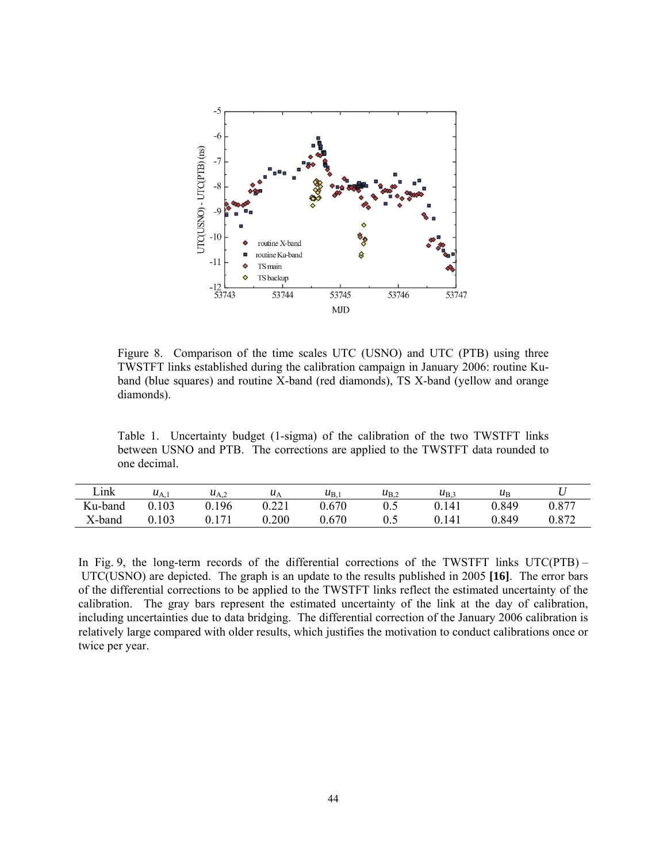

Figure 8. Comparison of the time scales UTC (USNO) and UTC (PTB) using three TWSTFT links established during the calibration campaign in January 2006: routine Kuband (blue squares) and routine X-band (red diamonds), TS X-band (yellow and orange diamonds).

Table 1. Uncertainty budget (1-sigma) of the calibration of the two TWSTFT links between USNO and PTB. The corrections are applied to the TWSTFT data rounded to one decimal.

| Link    | $u_{A}$ | $u_{A,2}$ | $\mu_A$ | $u_{\rm B}$ | $u_{B,2}$ | $u_{\rm B}$    | $\mu_{\rm B}$ |       |
|---------|---------|-----------|---------|-------------|-----------|----------------|---------------|-------|
| Ku-band | 103     | 196       | 0.221   | 0.670       | $0.5\,$   | <sup>141</sup> | 0.849         | 0.877 |
| X-band  | 0.103   |           | 0.200   | 0.670       | 0.5       | .141           | 0.849         | 0.872 |

In Fig. 9, the long-term records of the differential corrections of the TWSTFT links UTC(PTB) – UTC(USNO) are depicted. The graph is an update to the results published in 2005 **[16]**. The error bars of the differential corrections to be applied to the TWSTFT links reflect the estimated uncertainty of the calibration. The gray bars represent the estimated uncertainty of the link at the day of calibration, including uncertainties due to data bridging. The differential correction of the January 2006 calibration is relatively large compared with older results, which justifies the motivation to conduct calibrations once or twice per year.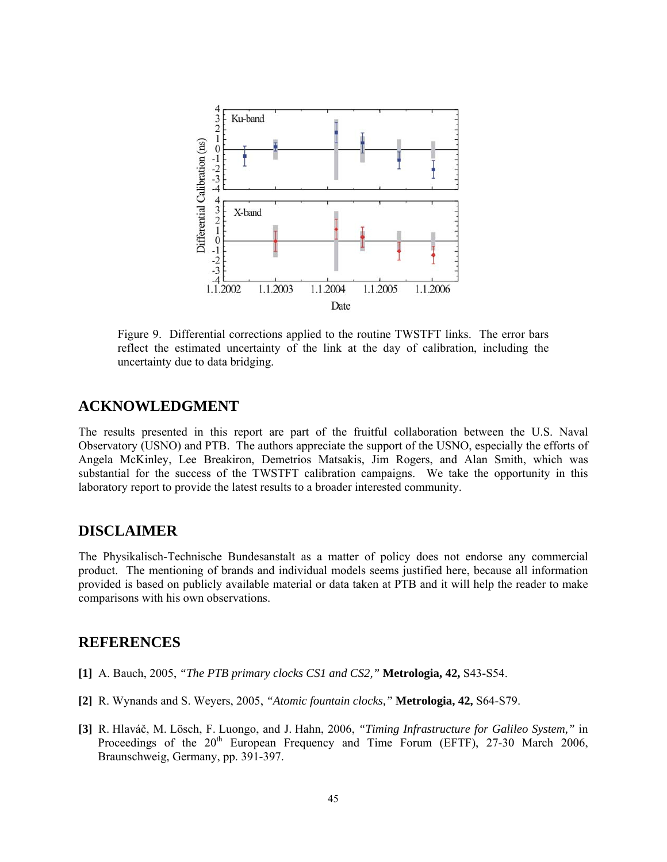

Figure 9. Differential corrections applied to the routine TWSTFT links. The error bars reflect the estimated uncertainty of the link at the day of calibration, including the uncertainty due to data bridging.

#### **ACKNOWLEDGMENT**

The results presented in this report are part of the fruitful collaboration between the U.S. Naval Observatory (USNO) and PTB. The authors appreciate the support of the USNO, especially the efforts of Angela McKinley, Lee Breakiron, Demetrios Matsakis, Jim Rogers, and Alan Smith, which was substantial for the success of the TWSTFT calibration campaigns. We take the opportunity in this laboratory report to provide the latest results to a broader interested community.

#### **DISCLAIMER**

The Physikalisch-Technische Bundesanstalt as a matter of policy does not endorse any commercial product. The mentioning of brands and individual models seems justified here, because all information provided is based on publicly available material or data taken at PTB and it will help the reader to make comparisons with his own observations.

#### **REFERENCES**

- **[1]** A. Bauch, 2005, *"The PTB primary clocks CS1 and CS2,"* **Metrologia, 42,** S43-S54.
- **[2]** R. Wynands and S. Weyers, 2005, *"Atomic fountain clocks,"* **Metrologia, 42,** S64-S79.
- **[3]** R. Hlaváč, M. Lösch, F. Luongo, and J. Hahn, 2006, *"Timing Infrastructure for Galileo System,"* in Proceedings of the  $20<sup>th</sup>$  European Frequency and Time Forum (EFTF), 27-30 March 2006, Braunschweig, Germany, pp. 391-397.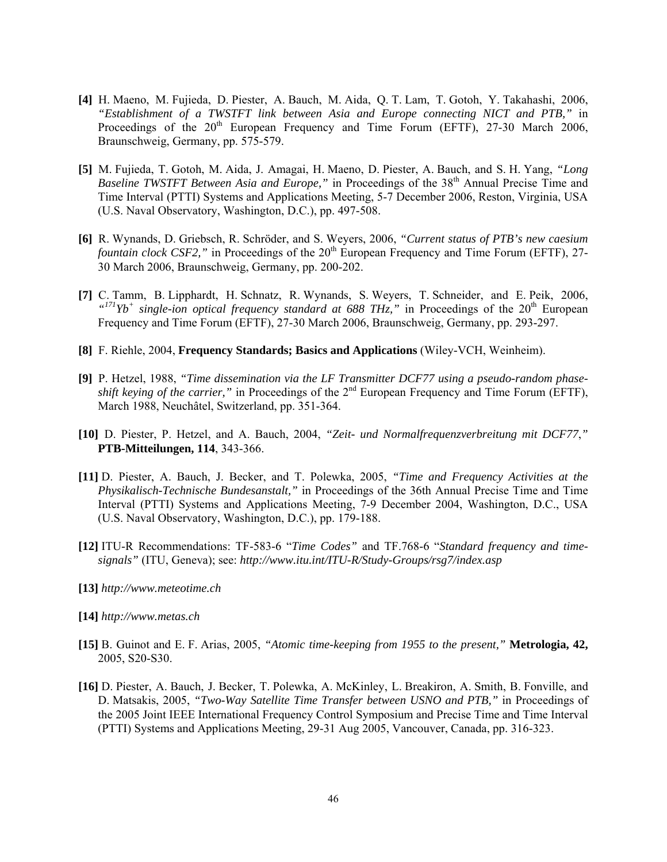- **[4]** H. Maeno, M. Fujieda, D. Piester, A. Bauch, M. Aida, Q. T. Lam, T. Gotoh, Y. Takahashi, 2006, *"Establishment of a TWSTFT link between Asia and Europe connecting NICT and PTB,"* in Proceedings of the  $20<sup>th</sup>$  European Frequency and Time Forum (EFTF), 27-30 March 2006, Braunschweig, Germany, pp. 575-579.
- **[5]** M. Fujieda, T. Gotoh, M. Aida, J. Amagai, H. Maeno, D. Piester, A. Bauch, and S. H. Yang, *"Long Baseline TWSTFT Between Asia and Europe,*" in Proceedings of the 38<sup>th</sup> Annual Precise Time and Time Interval (PTTI) Systems and Applications Meeting, 5-7 December 2006, Reston, Virginia, USA (U.S. Naval Observatory, Washington, D.C.), pp. 497-508.
- **[6]** R. Wynands, D. Griebsch, R. Schröder, and S. Weyers, 2006, *"Current status of PTB's new caesium fountain clock CSF2*," in Proceedings of the 20<sup>th</sup> European Frequency and Time Forum (EFTF), 27-30 March 2006, Braunschweig, Germany, pp. 200-202.
- **[7]** C. Tamm, B. Lipphardt, H. Schnatz, R. Wynands, S. Weyers, T. Schneider, and E. Peik, 2006,  $\mu$ <sup>171</sup>Yb<sup>+</sup> single-ion optical frequency standard at 688 THz," in Proceedings of the 20<sup>th</sup> European Frequency and Time Forum (EFTF), 27-30 March 2006, Braunschweig, Germany, pp. 293-297.
- **[8]** F. Riehle, 2004, **Frequency Standards; Basics and Applications** (Wiley-VCH, Weinheim).
- **[9]** P. Hetzel, 1988, *"Time dissemination via the LF Transmitter DCF77 using a pseudo-random phaseshift keying of the carrier,*" in Proceedings of the  $2<sup>nd</sup>$  European Frequency and Time Forum (EFTF), March 1988, Neuchâtel, Switzerland, pp. 351-364.
- **[10]** D. Piester, P. Hetzel, and A. Bauch, 2004, *"Zeit- und Normalfrequenzverbreitung mit DCF77*,*"* **PTB-Mitteilungen, 114**, 343-366.
- **[11]** D. Piester, A. Bauch, J. Becker, and T. Polewka, 2005, *"Time and Frequency Activities at the Physikalisch-Technische Bundesanstalt,"* in Proceedings of the 36th Annual Precise Time and Time Interval (PTTI) Systems and Applications Meeting, 7-9 December 2004, Washington, D.C., USA (U.S. Naval Observatory, Washington, D.C.), pp. 179-188.
- **[12]** ITU-R Recommendations: TF-583-6 "*Time Codes"* and TF.768-6 "*Standard frequency and timesignals"* (ITU, Geneva); see: *http://www.itu.int/ITU-R/Study-Groups/rsg7/index.asp*
- **[13]** *http://www.meteotime.ch*
- **[14]** *http://www.metas.ch*
- **[15]** B. Guinot and E. F. Arias, 2005, *"Atomic time-keeping from 1955 to the present,"* **Metrologia, 42,** 2005, S20-S30.
- **[16]** D. Piester, A. Bauch, J. Becker, T. Polewka, A. McKinley, L. Breakiron, A. Smith, B. Fonville, and D. Matsakis, 2005, *"Two-Way Satellite Time Transfer between USNO and PTB,"* in Proceedings of the 2005 Joint IEEE International Frequency Control Symposium and Precise Time and Time Interval (PTTI) Systems and Applications Meeting, 29-31 Aug 2005, Vancouver, Canada, pp. 316-323.